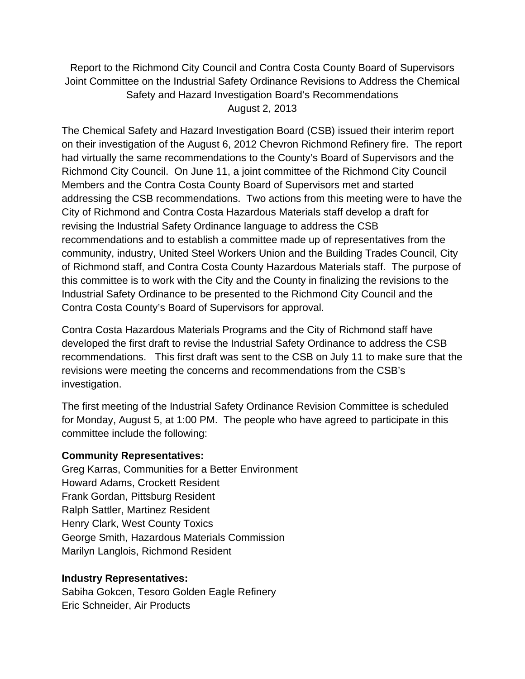Report to the Richmond City Council and Contra Costa County Board of Supervisors Joint Committee on the Industrial Safety Ordinance Revisions to Address the Chemical Safety and Hazard Investigation Board's Recommendations August 2, 2013

The Chemical Safety and Hazard Investigation Board (CSB) issued their interim report on their investigation of the August 6, 2012 Chevron Richmond Refinery fire. The report had virtually the same recommendations to the County's Board of Supervisors and the Richmond City Council. On June 11, a joint committee of the Richmond City Council Members and the Contra Costa County Board of Supervisors met and started addressing the CSB recommendations. Two actions from this meeting were to have the City of Richmond and Contra Costa Hazardous Materials staff develop a draft for revising the Industrial Safety Ordinance language to address the CSB recommendations and to establish a committee made up of representatives from the community, industry, United Steel Workers Union and the Building Trades Council, City of Richmond staff, and Contra Costa County Hazardous Materials staff. The purpose of this committee is to work with the City and the County in finalizing the revisions to the Industrial Safety Ordinance to be presented to the Richmond City Council and the Contra Costa County's Board of Supervisors for approval.

Contra Costa Hazardous Materials Programs and the City of Richmond staff have developed the first draft to revise the Industrial Safety Ordinance to address the CSB recommendations. This first draft was sent to the CSB on July 11 to make sure that the revisions were meeting the concerns and recommendations from the CSB's investigation.

The first meeting of the Industrial Safety Ordinance Revision Committee is scheduled for Monday, August 5, at 1:00 PM. The people who have agreed to participate in this committee include the following:

## **Community Representatives:**

Greg Karras, Communities for a Better Environment Howard Adams, Crockett Resident Frank Gordan, Pittsburg Resident Ralph Sattler, Martinez Resident Henry Clark, West County Toxics George Smith, Hazardous Materials Commission Marilyn Langlois, Richmond Resident

## **Industry Representatives:**

Sabiha Gokcen, Tesoro Golden Eagle Refinery Eric Schneider, Air Products